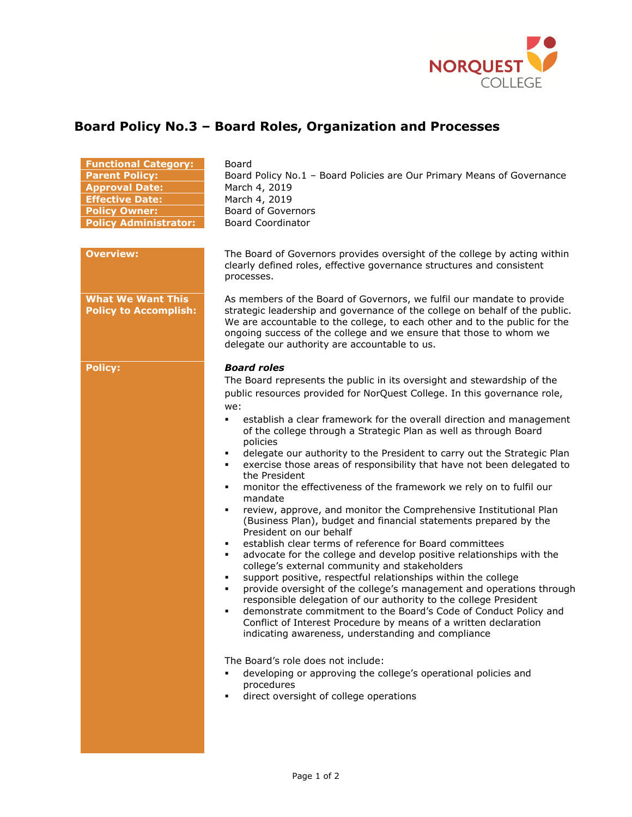

## **Board Policy No.3 – Board Roles, Organization and Processes**

**Board** 

| <b>Functional Category:</b>  |
|------------------------------|
| <b>Parent Policy:</b>        |
| <b>Approval Date:</b>        |
| <b>Effective Date:</b>       |
| <b>Policy Owner:</b>         |
| <b>Policy Administrator:</b> |

**What We Want This Policy to Accomplish:**

Board Policy No.1 – Board Policies are Our Primary Means of Governance **March 4, 2019 March 4, 2019 Board of Governors Policy Administrator:** Board Coordinator

**Overview:** The Board of Governors provides oversight of the college by acting within clearly defined roles, effective governance structures and consistent processes.

> As members of the Board of Governors, we fulfil our mandate to provide strategic leadership and governance of the college on behalf of the public. We are accountable to the college, to each other and to the public for the ongoing success of the college and we ensure that those to whom we delegate our authority are accountable to us.

## **Policy:** *Board roles*

The Board represents the public in its oversight and stewardship of the public resources provided for NorQuest College. In this governance role, we:

- establish a clear framework for the overall direction and management of the college through a Strategic Plan as well as through Board policies
- delegate our authority to the President to carry out the Strategic Plan
- exercise those areas of responsibility that have not been delegated to the President
- monitor the effectiveness of the framework we rely on to fulfil our mandate
- review, approve, and monitor the Comprehensive Institutional Plan (Business Plan), budget and financial statements prepared by the President on our behalf
- establish clear terms of reference for Board committees
- advocate for the college and develop positive relationships with the college's external community and stakeholders
- support positive, respectful relationships within the college
- provide oversight of the college's management and operations through responsible delegation of our authority to the college President
- demonstrate commitment to the Board's Code of Conduct Policy and Conflict of Interest Procedure by means of a written declaration indicating awareness, understanding and compliance

The Board's role does not include:

- developing or approving the college's operational policies and procedures
- direct oversight of college operations